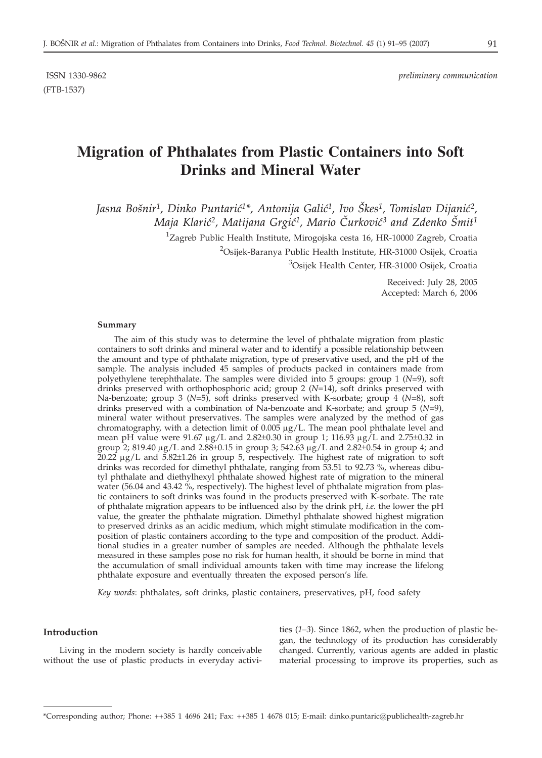(FTB-1537)

# **Migration of Phthalates from Plastic Containers into Soft Drinks and Mineral Water**

Jasna Bošnir<sup>1</sup>, Dinko Puntarić<sup>1\*</sup>, Antonija Galić<sup>1</sup>, Ivo Škes<sup>1</sup>, Tomislav Dijanić<sup>2</sup>, *Maja Klarić<sup>2</sup>, Matijana Grgić<sup>1</sup>, Mario Čurković<sup>3</sup> and Zdenko Šmit<sup>1</sup>* 

<sup>1</sup>Zagreb Public Health Institute, Mirogojska cesta 16, HR-10000 Zagreb, Croatia

<sup>2</sup>Osijek-Baranya Public Health Institute, HR-31000 Osijek, Croatia

<sup>3</sup>Osijek Health Center, HR-31000 Osijek, Croatia

Received: July 28, 2005 Accepted: March 6, 2006

#### **Summary**

The aim of this study was to determine the level of phthalate migration from plastic containers to soft drinks and mineral water and to identify a possible relationship between the amount and type of phthalate migration, type of preservative used, and the pH of the sample. The analysis included 45 samples of products packed in containers made from polyethylene terephthalate. The samples were divided into 5 groups: group 1 (*N*=9), soft drinks preserved with orthophosphoric acid; group 2 (*N*=14), soft drinks preserved with Na-benzoate; group 3 (*N*=5), soft drinks preserved with K-sorbate; group 4 (*N*=8), soft drinks preserved with a combination of Na-benzoate and K-sorbate; and group 5 (*N*=9), mineral water without preservatives. The samples were analyzed by the method of gas chromatography, with a detection limit of  $0.005 \mu g/L$ . The mean pool phthalate level and mean pH value were 91.67  $\mu$ g/L and 2.82±0.30 in group 1; 116.93  $\mu$ g/L and 2.75±0.32 in group 2; 819.40  $\mu$ g/L and 2.88±0.15 in group 3; 542.63  $\mu$ g/L and 2.82±0.54 in group 4; and  $20.22 \mu g/L$  and  $5.82\pm1.26$  in group 5, respectively. The highest rate of migration to soft drinks was recorded for dimethyl phthalate, ranging from 53.51 to 92.73 %, whereas dibutyl phthalate and diethylhexyl phthalate showed highest rate of migration to the mineral water (56.04 and 43.42 %, respectively). The highest level of phthalate migration from plastic containers to soft drinks was found in the products preserved with K-sorbate. The rate of phthalate migration appears to be influenced also by the drink pH, *i.e.* the lower the pH value, the greater the phthalate migration. Dimethyl phthalate showed highest migration to preserved drinks as an acidic medium, which might stimulate modification in the composition of plastic containers according to the type and composition of the product. Additional studies in a greater number of samples are needed. Although the phthalate levels measured in these samples pose no risk for human health, it should be borne in mind that the accumulation of small individual amounts taken with time may increase the lifelong phthalate exposure and eventually threaten the exposed person's life.

*Key words*: phthalates, soft drinks, plastic containers, preservatives, pH, food safety

#### **Introduction**

Living in the modern society is hardly conceivable without the use of plastic products in everyday activities (*1–3*). Since 1862, when the production of plastic began, the technology of its production has considerably changed. Currently, various agents are added in plastic material processing to improve its properties, such as

<sup>\*</sup>Corresponding author; Phone: ++385 1 4696 241; Fax: ++385 1 4678 015; E-mail: dinko.puntaric*@*publichealth-zagreb.hr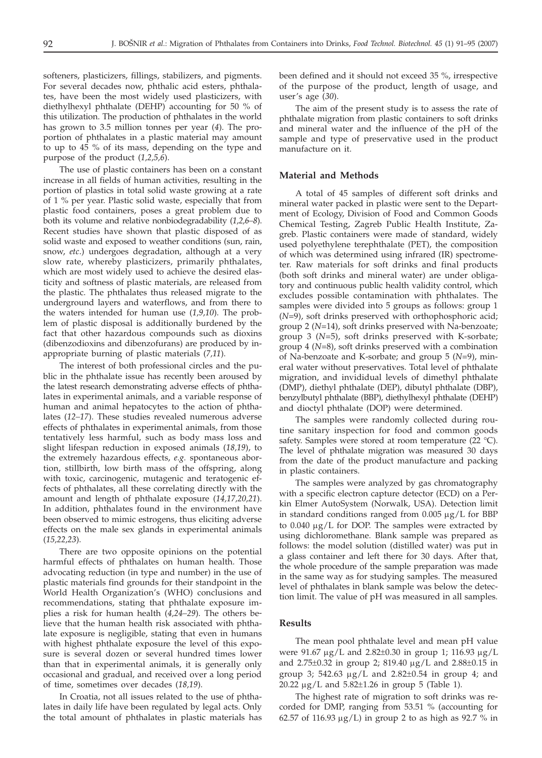softeners, plasticizers, fillings, stabilizers, and pigments. For several decades now, phthalic acid esters, phthalates, have been the most widely used plasticizers, with diethylhexyl phthalate (DEHP) accounting for 50 % of this utilization. The production of phthalates in the world has grown to 3.5 million tonnes per year (*4*). The proportion of phthalates in a plastic material may amount to up to 45 % of its mass, depending on the type and purpose of the product (*1,2,5,6*).

The use of plastic containers has been on a constant increase in all fields of human activities, resulting in the portion of plastics in total solid waste growing at a rate of 1 % per year. Plastic solid waste, especially that from plastic food containers, poses a great problem due to both its volume and relative nonbiodegradability (*1,2,6–8*). Recent studies have shown that plastic disposed of as solid waste and exposed to weather conditions (sun, rain, snow, *etc*.) undergoes degradation, although at a very slow rate, whereby plasticizers, primarily phthalates, which are most widely used to achieve the desired elasticity and softness of plastic materials, are released from the plastic. The phthalates thus released migrate to the underground layers and waterflows, and from there to the waters intended for human use (*1,9,10*). The problem of plastic disposal is additionally burdened by the fact that other hazardous compounds such as dioxins (dibenzodioxins and dibenzofurans) are produced by inappropriate burning of plastic materials (*7,11*).

The interest of both professional circles and the public in the phthalate issue has recently been aroused by the latest research demonstrating adverse effects of phthalates in experimental animals, and a variable response of human and animal hepatocytes to the action of phthalates (*12–17*). These studies revealed numerous adverse effects of phthalates in experimental animals, from those tentatively less harmful, such as body mass loss and slight lifespan reduction in exposed animals (*18,19*), to the extremely hazardous effects, *e.g.* spontaneous abortion, stillbirth, low birth mass of the offspring, along with toxic, carcinogenic, mutagenic and teratogenic effects of phthalates, all these correlating directly with the amount and length of phthalate exposure (*14,17,20,21*). In addition, phthalates found in the environment have been observed to mimic estrogens, thus eliciting adverse effects on the male sex glands in experimental animals (*15,22,23*).

There are two opposite opinions on the potential harmful effects of phthalates on human health. Those advocating reduction (in type and number) in the use of plastic materials find grounds for their standpoint in the World Health Organization's (WHO) conclusions and recommendations, stating that phthalate exposure implies a risk for human health (*4,24–29*). The others believe that the human health risk associated with phthalate exposure is negligible, stating that even in humans with highest phthalate exposure the level of this exposure is several dozen or several hundred times lower than that in experimental animals, it is generally only occasional and gradual, and received over a long period of time, sometimes over decades (*18,19*).

In Croatia, not all issues related to the use of phthalates in daily life have been regulated by legal acts. Only the total amount of phthalates in plastic materials has been defined and it should not exceed 35 %, irrespective of the purpose of the product, length of usage, and user's age (*30*).

The aim of the present study is to assess the rate of phthalate migration from plastic containers to soft drinks and mineral water and the influence of the pH of the sample and type of preservative used in the product manufacture on it.

#### **Material and Methods**

A total of 45 samples of different soft drinks and mineral water packed in plastic were sent to the Department of Ecology, Division of Food and Common Goods Chemical Testing, Zagreb Public Health Institute, Zagreb. Plastic containers were made of standard, widely used polyethylene terephthalate (PET), the composition of which was determined using infrared (IR) spectrometer. Raw materials for soft drinks and final products (both soft drinks and mineral water) are under obligatory and continuous public health validity control, which excludes possible contamination with phthalates. The samples were divided into 5 groups as follows: group 1 (*N*=9), soft drinks preserved with orthophosphoric acid; group 2 (*N*=14), soft drinks preserved with Na-benzoate; group 3 (*N*=5), soft drinks preserved with K-sorbate; group 4 (*N*=8), soft drinks preserved with a combination of Na-benzoate and K-sorbate; and group 5 (*N*=9), mineral water without preservatives. Total level of phthalate migration, and invididual levels of dimethyl phthalate (DMP), diethyl phthalate (DEP), dibutyl phthalate (DBP), benzylbutyl phthalate (BBP), diethylhexyl phthalate (DEHP) and dioctyl phthalate (DOP) were determined.

The samples were randomly collected during routine sanitary inspection for food and common goods safety. Samples were stored at room temperature (22 °C). The level of phthalate migration was measured 30 days from the date of the product manufacture and packing in plastic containers.

The samples were analyzed by gas chromatography with a specific electron capture detector (ECD) on a Perkin Elmer AutoSystem (Norwalk, USA). Detection limit in standard conditions ranged from  $0.005 \mu g/L$  for BBP to  $0.040 \mu g/L$  for DOP. The samples were extracted by using dichloromethane. Blank sample was prepared as follows: the model solution (distilled water) was put in a glass container and left there for 30 days. After that, the whole procedure of the sample preparation was made in the same way as for studying samples. The measured level of phthalates in blank sample was below the detection limit. The value of pH was measured in all samples.

#### **Results**

The mean pool phthalate level and mean pH value were  $91.67 \mu g/L$  and  $2.82 \pm 0.30$  in group 1; 116.93  $\mu g/L$ and  $2.75\pm0.32$  in group 2; 819.40  $\mu$ g/L and  $2.88\pm0.15$  in group 3; 542.63  $\mu$ g/L and 2.82 $\pm$ 0.54 in group 4; and 20.22  $\mu$ g/L and 5.82 $\pm$ 1.26 in group 5 (Table 1).

The highest rate of migration to soft drinks was recorded for DMP, ranging from 53.51 % (accounting for 62.57 of 116.93  $\mu$ g/L) in group 2 to as high as 92.7 % in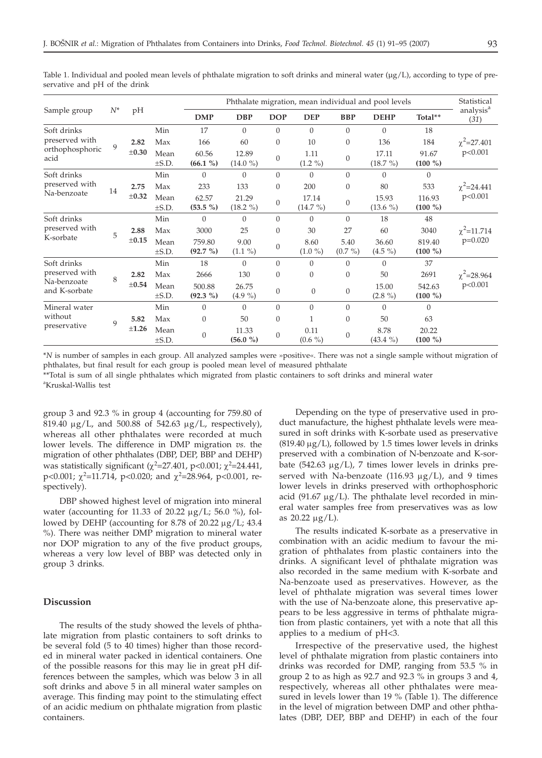| Sample group                                                  | $N^*$       | pH                 |                    | Phthalate migration, mean individual and pool levels |                     |                |                     |                    |                     |                     | Statistical                   |
|---------------------------------------------------------------|-------------|--------------------|--------------------|------------------------------------------------------|---------------------|----------------|---------------------|--------------------|---------------------|---------------------|-------------------------------|
|                                                               |             |                    |                    | <b>DMP</b>                                           | <b>DBP</b>          | <b>DOP</b>     | <b>DEP</b>          | <b>BBP</b>         | <b>DEHP</b>         | Total**             | analysis <sup>a</sup><br>(31) |
| Soft drinks<br>preserved with<br>orthophosphoric<br>acid      | 9           | 2.82<br>$\pm 0.30$ | Min                | 17                                                   | $\Omega$            | $\Omega$       | $\Omega$            | $\theta$           | $\Omega$            | 18                  | $\chi^2$ =27.401<br>p<0.001   |
|                                                               |             |                    | Max                | 166                                                  | 60                  | $\theta$       | 10                  | $\theta$           | 136                 | 184                 |                               |
|                                                               |             |                    | Mean<br>$\pm$ S.D. | 60.56<br>$(66.1\%)$                                  | 12.89<br>$(14.0\%)$ | $\overline{0}$ | 1.11<br>$(1.2\%)$   | $\Omega$           | 17.11<br>$(18.7\%)$ | 91.67<br>$(100\%)$  |                               |
| Soft drinks<br>preserved with<br>Na-benzoate                  | 14          | 2.75<br>$\pm 0.32$ | Min                | $\overline{0}$                                       | $\Omega$            | $\Omega$       | $\Omega$            | $\overline{0}$     | $\Omega$            | $\Omega$            | $\chi^2$ =24.441<br>p<0.001   |
|                                                               |             |                    | Max                | 233                                                  | 133                 | $\theta$       | 200                 | $\mathbf{0}$       | 80                  | 533                 |                               |
|                                                               |             |                    | Mean<br>$\pm$ S.D. | 62.57<br>$(53.5\%)$                                  | 21.29<br>$(18.2\%)$ | $\Omega$       | 17.14<br>$(14.7\%)$ | $\mathbf{0}$       | 15.93<br>$(13.6\%)$ | 116.93<br>$(100\%)$ |                               |
| Soft drinks<br>preserved with<br>K-sorbate                    | 5           | 2.88<br>$\pm 0.15$ | Min                | $\Omega$                                             | $\Omega$            | $\Omega$       | $\Omega$            | $\Omega$           | 18                  | 48                  | $\chi^2$ =11.714<br>$p=0.020$ |
|                                                               |             |                    | Max                | 3000                                                 | 25                  | $\theta$       | 30                  | 27                 | 60                  | 3040                |                               |
|                                                               |             |                    | Mean<br>$\pm$ S.D. | 759.80<br>$(92.7\%)$                                 | 9.00<br>$(1.1\%)$   | $\theta$       | 8.60<br>$(1.0\%)$   | 5.40<br>$(0.7\% )$ | 36.60<br>$(4.5\%)$  | 819.40<br>$(100\%)$ |                               |
| Soft drinks<br>preserved with<br>Na-benzoate<br>and K-sorbate | 8           | 2.82<br>$\pm 0.54$ | Min                | 18                                                   | $\Omega$            | $\Omega$       | $\Omega$            | $\Omega$           | $\Omega$            | 37                  | $\chi^2$ =28.964<br>p<0.001   |
|                                                               |             |                    | Max                | 2666                                                 | 130                 | $\mathbf{0}$   | $\mathbf{0}$        | $\mathbf{0}$       | 50                  | 2691                |                               |
|                                                               |             |                    | Mean<br>$\pm$ S.D. | 500.88<br>$(92.3\%)$                                 | 26.75<br>$(4.9\%)$  | $\mathbf{0}$   | $\theta$            | $\mathbf{0}$       | 15.00<br>$(2.8\%)$  | 542.63<br>$(100\%)$ |                               |
| Mineral water<br>without<br>preservative                      | $\mathbf Q$ | 5.82<br>±1.26      | Min                | $\mathbf{0}$                                         | $\Omega$            | $\Omega$       | $\Omega$            | $\mathbf{0}$       | $\theta$            | $\Omega$            |                               |
|                                                               |             |                    | Max                | $\mathbf{0}$                                         | 50                  | $\theta$       | 1                   | $\mathbf{0}$       | 50                  | 63                  |                               |
|                                                               |             |                    | Mean<br>$\pm$ S.D. | $\boldsymbol{0}$                                     | 11.33<br>(56.0 %)   | $\theta$       | 0.11<br>$(0.6\%)$   | $\Omega$           | 8.78<br>$(43.4\% )$ | 20.22<br>$(100\%)$  |                               |

Table 1. Individual and pooled mean levels of phthalate migration to soft drinks and mineral water (µg/L), according to type of preservative and pH of the drink

\**N* is number of samples in each group. All analyzed samples were »positive«. There was not a single sample without migration of phthalates, but final result for each group is pooled mean level of measured phthalate

\*\*Total is sum of all single phthalates which migrated from plastic containers to soft drinks and mineral water a Kruskal-Wallis test

group 3 and 92.3 % in group 4 (accounting for 759.80 of 819.40  $\mu$ g/L, and 500.88 of 542.63  $\mu$ g/L, respectively), whereas all other phthalates were recorded at much lower levels. The difference in DMP migration *vs.* the migration of other phthalates (DBP, DEP, BBP and DEHP) was statistically significant ( $\chi^2$ =27.401, p<0.001;  $\chi^2$ =24.441, p<0.001;  $\chi^2$ =11.714, p<0.020; and  $\chi^2$ =28.964, p<0.001, respectively).

DBP showed highest level of migration into mineral water (accounting for 11.33 of 20.22  $\mu$ g/L; 56.0 %), followed by DEHP (accounting for 8.78 of 20.22  $\mu$ g/L; 43.4 %). There was neither DMP migration to mineral water nor DOP migration to any of the five product groups, whereas a very low level of BBP was detected only in group 3 drinks.

### **Discussion**

The results of the study showed the levels of phthalate migration from plastic containers to soft drinks to be several fold (5 to 40 times) higher than those recorded in mineral water packed in identical containers. One of the possible reasons for this may lie in great pH differences between the samples, which was below 3 in all soft drinks and above 5 in all mineral water samples on average. This finding may point to the stimulating effect of an acidic medium on phthalate migration from plastic containers.

Depending on the type of preservative used in product manufacture, the highest phthalate levels were measured in soft drinks with K-sorbate used as preservative  $(819.40 \,\mu\text{g/L})$ , followed by 1.5 times lower levels in drinks preserved with a combination of N-benzoate and K-sorbate (542.63  $\mu$ g/L), 7 times lower levels in drinks preserved with Na-benzoate (116.93  $\mu$ g/L), and 9 times lower levels in drinks preserved with orthophosphoric acid (91.67  $\mu$ g/L). The phthalate level recorded in mineral water samples free from preservatives was as low as  $20.22 \mu g/L$ ).

The results indicated K-sorbate as a preservative in combination with an acidic medium to favour the migration of phthalates from plastic containers into the drinks. A significant level of phthalate migration was also recorded in the same medium with K-sorbate and Na-benzoate used as preservatives. However, as the level of phthalate migration was several times lower with the use of Na-benzoate alone, this preservative appears to be less aggressive in terms of phthalate migration from plastic containers, yet with a note that all this applies to a medium of pH<3.

Irrespective of the preservative used, the highest level of phthalate migration from plastic containers into drinks was recorded for DMP, ranging from 53.5 % in group 2 to as high as 92.7 and 92.3 % in groups 3 and 4, respectively, whereas all other phthalates were measured in levels lower than 19 % (Table 1). The difference in the level of migration between DMP and other phthalates (DBP, DEP, BBP and DEHP) in each of the four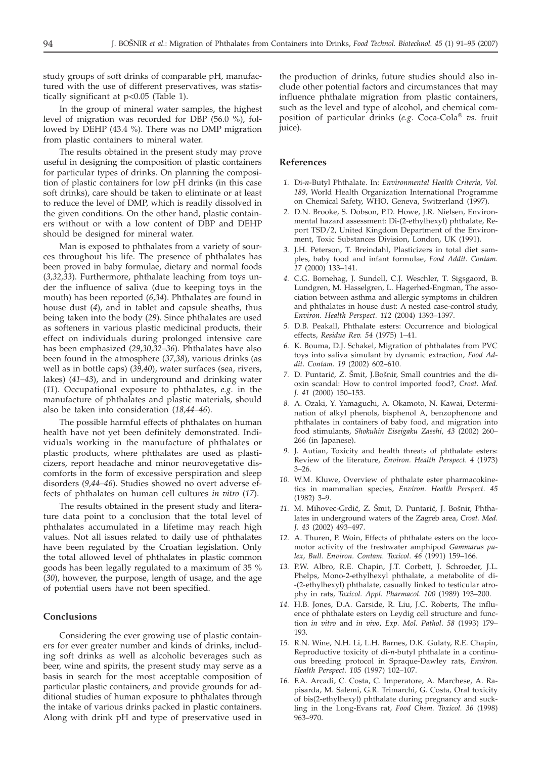study groups of soft drinks of comparable pH, manufactured with the use of different preservatives, was statistically significant at p<0.05 (Table 1).

In the group of mineral water samples, the highest level of migration was recorded for DBP (56.0 %), followed by DEHP (43.4 %). There was no DMP migration from plastic containers to mineral water.

The results obtained in the present study may prove useful in designing the composition of plastic containers for particular types of drinks. On planning the composition of plastic containers for low pH drinks (in this case soft drinks), care should be taken to eliminate or at least to reduce the level of DMP, which is readily dissolved in the given conditions. On the other hand, plastic containers without or with a low content of DBP and DEHP should be designed for mineral water.

Man is exposed to phthalates from a variety of sources throughout his life. The presence of phthalates has been proved in baby formulae, dietary and normal foods (*3,32,33*). Furthermore, phthalate leaching from toys under the influence of saliva (due to keeping toys in the mouth) has been reported (*6,34*). Phthalates are found in house dust (*4*), and in tablet and capsule sheaths, thus being taken into the body (*29*). Since phthalates are used as softeners in various plastic medicinal products, their effect on individuals during prolonged intensive care has been emphasized (*29,30,32–36*). Phthalates have also been found in the atmosphere (*37,38*), various drinks (as well as in bottle caps) (*39,40*), water surfaces (sea, rivers, lakes) (*41–43*), and in underground and drinking water (*11*). Occupational exposure to phthalates, *e.g.* in the manufacture of phthalates and plastic materials, should also be taken into consideration (*18,44–46*).

The possible harmful effects of phthalates on human health have not yet been definitely demonstrated. Individuals working in the manufacture of phthalates or plastic products, where phthalates are used as plasticizers, report headache and minor neurovegetative discomforts in the form of excessive perspiration and sleep disorders (*9,44–46*). Studies showed no overt adverse effects of phthalates on human cell cultures *in vitro* (*17*).

The results obtained in the present study and literature data point to a conclusion that the total level of phthalates accumulated in a lifetime may reach high values. Not all issues related to daily use of phthalates have been regulated by the Croatian legislation. Only the total allowed level of phthalates in plastic common goods has been legally regulated to a maximum of 35 % (*30*), however, the purpose, length of usage, and the age of potential users have not been specified.

## **Conclusions**

Considering the ever growing use of plastic containers for ever greater number and kinds of drinks, including soft drinks as well as alcoholic beverages such as beer, wine and spirits, the present study may serve as a basis in search for the most acceptable composition of particular plastic containers, and provide grounds for additional studies of human exposure to phthalates through the intake of various drinks packed in plastic containers. Along with drink pH and type of preservative used in

the production of drinks, future studies should also include other potential factors and circumstances that may influence phthalate migration from plastic containers, such as the level and type of alcohol, and chemical composition of particular drinks (*e.g.* Coca-Cola® *vs.* fruit juice).

#### **References**

- *1.* Di-*n*-Butyl Phthalate. In: *Environmental Health Criteria, Vol. 189*, World Health Organization International Programme on Chemical Safety, WHO, Geneva, Switzerland (1997).
- *2.* D.N. Brooke, S. Dobson, P.D. Howe, J.R. Nielsen, Environmental hazard assessment: Di-(2-ethylhexyl) phthalate, Report TSD/2, United Kingdom Department of the Environment, Toxic Substances Division, London, UK (1991).
- *3.* J.H. Peterson, T. Breindahl, Plasticizers in total diet samples, baby food and infant formulae, *Food Addit. Contam. 17* (2000) 133–141.
- *4.* C.G. Bornehag, J. Sundell, C.J. Weschler, T. Sigsgaord, B. Lundgren, M. Hasselgren, L. Hagerhed-Engman, The association between asthma and allergic symptoms in children and phthalates in house dust: A nested case-control study, *Environ. Health Perspect. 112* (2004) 1393–1397.
- *5.* D.B. Peakall, Phthalate esters: Occurrence and biological effects, *Residue Rev. 54* (1975) 1–41.
- *6.* K. Bouma, D.J. Schakel, Migration of phthalates from PVC toys into saliva simulant by dynamic extraction, *Food Addit. Contam. 19* (2002) 602–610.
- 7. D. Puntarić, Z. Šmit, J.Bošnir, Small countries and the dioxin scandal: How to control imported food?, *Croat. Med. J. 41* (2000) 150–153.
- *8.* A. Ozaki, Y. Yamaguchi, A. Okamoto, N. Kawai, Determination of alkyl phenols, bisphenol A, benzophenone and phthalates in containers of baby food, and migration into food stimulants, *Shokuhin Eiseigaku Zasshi, 43* (2002) 260– 266 (in Japanese).
- *9.* J. Autian, Toxicity and health threats of phthalate esters: Review of the literature, *Environ. Health Perspect. 4* (1973) 3–26.
- *10.* W.M. Kluwe, Overview of phthalate ester pharmacokinetics in mammalian species, *Environ. Health Perspect. 45* (1982) 3–9.
- 11. M. Mihovec-Grdić, Z. Šmit, D. Puntarić, J. Bošnir, Phthalates in underground waters of the Zagreb area, *Croat. Med. J. 43* (2002) 493–497.
- *12.* A. Thuren, P. Woin, Effects of phthalate esters on the locomotor activity of the freshwater amphipod *Gammarus pulex*, *Bull. Environ. Contam. Toxicol*. *46* (1991) 159–166.
- *13.* P.W. Albro, R.E. Chapin, J.T. Corbett, J. Schroeder, J.L. Phelps, Mono-2-ethylhexyl phthalate, a metabolite of di- -(2-ethylhexyl) phthalate, casually linked to testicular atrophy in rats, *Toxicol. Appl. Pharmacol. 100* (1989) 193–200.
- *14.* H.B. Jones, D.A. Garside, R. Liu, J.C. Roberts, The influence of phthalate esters on Leydig cell structure and function *in vitro* and *in vivo*, *Exp. Mol. Pathol*. *58* (1993) 179– 193.
- *15.* R.N. Wine, N.H. Li, L.H. Barnes, D.K. Gulaty, R.E. Chapin, Reproductive toxicity of di-*n*-butyl phthalate in a continuous breeding protocol in Spraque-Dawley rats, *Environ. Health Perspect. 105* (1997) 102–107.
- *16.* F.A. Arcadi, C. Costa, C. Imperatore, A. Marchese, A. Rapisarda, M. Salemi, G.R. Trimarchi, G. Costa*,* Oral toxicity of bis(2-ethylhexyl) phthalate during pregnancy and suckling in the Long-Evans rat, *Food Chem. Toxicol. 36* (1998) 963–970.